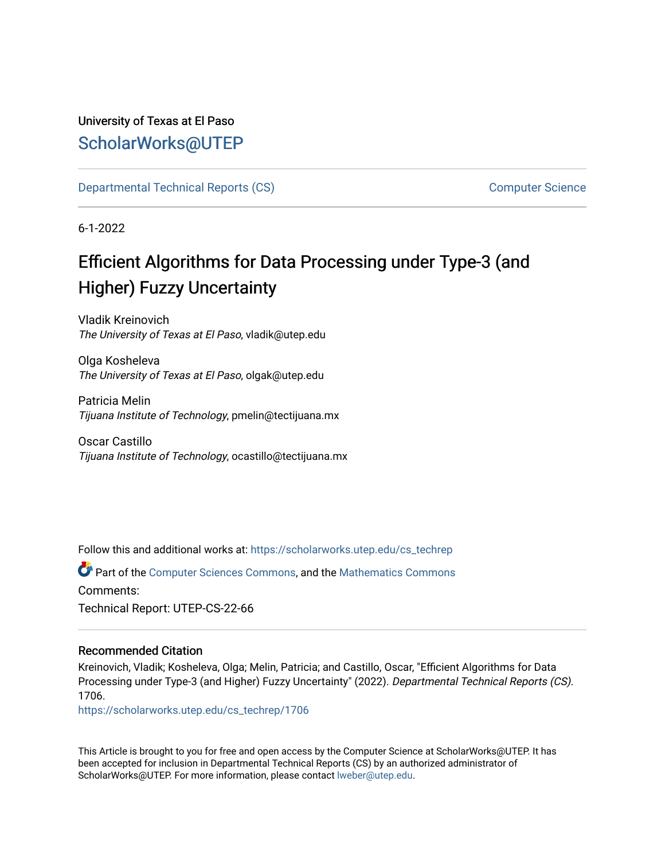## University of Texas at El Paso [ScholarWorks@UTEP](https://scholarworks.utep.edu/)

[Departmental Technical Reports \(CS\)](https://scholarworks.utep.edu/cs_techrep) [Computer Science](https://scholarworks.utep.edu/computer) 

6-1-2022

# Efficient Algorithms for Data Processing under Type-3 (and Higher) Fuzzy Uncertainty

Vladik Kreinovich The University of Texas at El Paso, vladik@utep.edu

Olga Kosheleva The University of Texas at El Paso, olgak@utep.edu

Patricia Melin Tijuana Institute of Technology, pmelin@tectijuana.mx

Oscar Castillo Tijuana Institute of Technology, ocastillo@tectijuana.mx

Follow this and additional works at: [https://scholarworks.utep.edu/cs\\_techrep](https://scholarworks.utep.edu/cs_techrep?utm_source=scholarworks.utep.edu%2Fcs_techrep%2F1706&utm_medium=PDF&utm_campaign=PDFCoverPages) 

Part of the [Computer Sciences Commons](https://network.bepress.com/hgg/discipline/142?utm_source=scholarworks.utep.edu%2Fcs_techrep%2F1706&utm_medium=PDF&utm_campaign=PDFCoverPages), and the [Mathematics Commons](https://network.bepress.com/hgg/discipline/174?utm_source=scholarworks.utep.edu%2Fcs_techrep%2F1706&utm_medium=PDF&utm_campaign=PDFCoverPages)  Comments: Technical Report: UTEP-CS-22-66

#### Recommended Citation

Kreinovich, Vladik; Kosheleva, Olga; Melin, Patricia; and Castillo, Oscar, "Efficient Algorithms for Data Processing under Type-3 (and Higher) Fuzzy Uncertainty" (2022). Departmental Technical Reports (CS). 1706.

[https://scholarworks.utep.edu/cs\\_techrep/1706](https://scholarworks.utep.edu/cs_techrep/1706?utm_source=scholarworks.utep.edu%2Fcs_techrep%2F1706&utm_medium=PDF&utm_campaign=PDFCoverPages) 

This Article is brought to you for free and open access by the Computer Science at ScholarWorks@UTEP. It has been accepted for inclusion in Departmental Technical Reports (CS) by an authorized administrator of ScholarWorks@UTEP. For more information, please contact [lweber@utep.edu](mailto:lweber@utep.edu).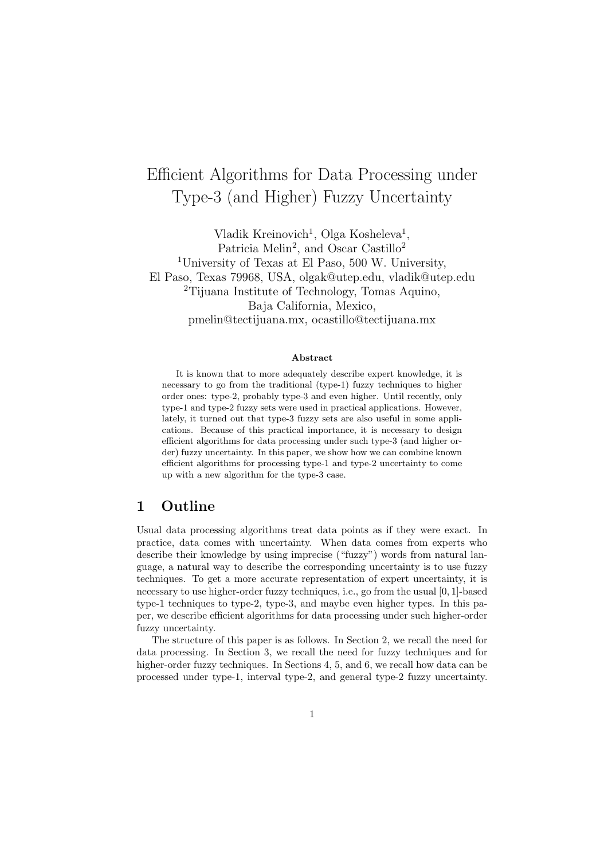# Efficient Algorithms for Data Processing under Type-3 (and Higher) Fuzzy Uncertainty

Vladik Kreinovich<sup>1</sup>, Olga Kosheleva<sup>1</sup>, Patricia Melin<sup>2</sup>, and Oscar Castillo<sup>2</sup> <sup>1</sup>University of Texas at El Paso, 500 W. University, El Paso, Texas 79968, USA, olgak@utep.edu, vladik@utep.edu <sup>2</sup>Tijuana Institute of Technology, Tomas Aquino, Baja California, Mexico, pmelin@tectijuana.mx, ocastillo@tectijuana.mx

#### Abstract

It is known that to more adequately describe expert knowledge, it is necessary to go from the traditional (type-1) fuzzy techniques to higher order ones: type-2, probably type-3 and even higher. Until recently, only type-1 and type-2 fuzzy sets were used in practical applications. However, lately, it turned out that type-3 fuzzy sets are also useful in some applications. Because of this practical importance, it is necessary to design efficient algorithms for data processing under such type-3 (and higher order) fuzzy uncertainty. In this paper, we show how we can combine known efficient algorithms for processing type-1 and type-2 uncertainty to come up with a new algorithm for the type-3 case.

#### 1 Outline

Usual data processing algorithms treat data points as if they were exact. In practice, data comes with uncertainty. When data comes from experts who describe their knowledge by using imprecise ("fuzzy") words from natural language, a natural way to describe the corresponding uncertainty is to use fuzzy techniques. To get a more accurate representation of expert uncertainty, it is necessary to use higher-order fuzzy techniques, i.e., go from the usual [0, 1]-based type-1 techniques to type-2, type-3, and maybe even higher types. In this paper, we describe efficient algorithms for data processing under such higher-order fuzzy uncertainty.

The structure of this paper is as follows. In Section 2, we recall the need for data processing. In Section 3, we recall the need for fuzzy techniques and for higher-order fuzzy techniques. In Sections 4, 5, and 6, we recall how data can be processed under type-1, interval type-2, and general type-2 fuzzy uncertainty.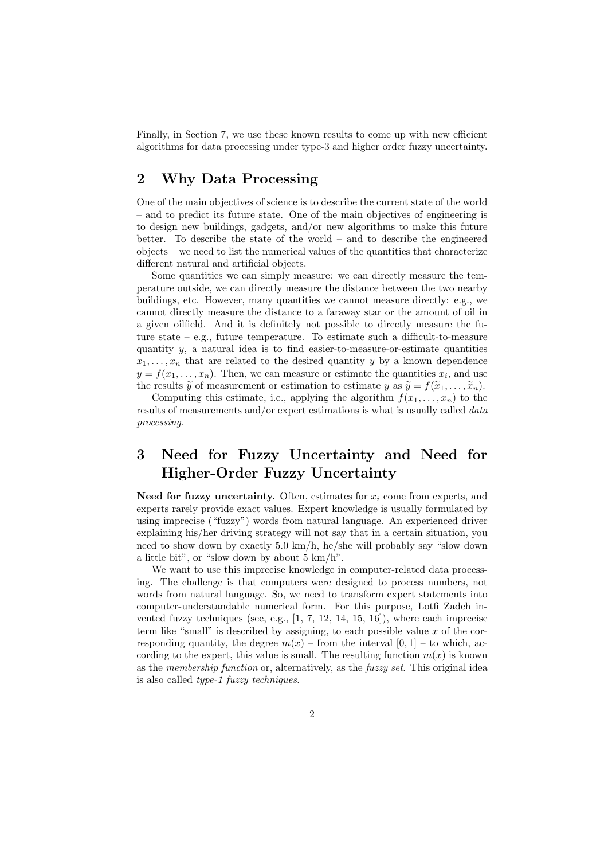Finally, in Section 7, we use these known results to come up with new efficient algorithms for data processing under type-3 and higher order fuzzy uncertainty.

#### 2 Why Data Processing

One of the main objectives of science is to describe the current state of the world – and to predict its future state. One of the main objectives of engineering is to design new buildings, gadgets, and/or new algorithms to make this future better. To describe the state of the world – and to describe the engineered objects – we need to list the numerical values of the quantities that characterize different natural and artificial objects.

Some quantities we can simply measure: we can directly measure the temperature outside, we can directly measure the distance between the two nearby buildings, etc. However, many quantities we cannot measure directly: e.g., we cannot directly measure the distance to a faraway star or the amount of oil in a given oilfield. And it is definitely not possible to directly measure the future state – e.g., future temperature. To estimate such a difficult-to-measure quantity  $y$ , a natural idea is to find easier-to-measure-or-estimate quantities  $x_1, \ldots, x_n$  that are related to the desired quantity y by a known dependence  $y = f(x_1, \ldots, x_n)$ . Then, we can measure or estimate the quantities  $x_i$ , and use the results  $\widetilde{y}$  of measurement or estimation to estimate y as  $\widetilde{y} = f(\widetilde{x}_1, \ldots, \widetilde{x}_n)$ .

Computing this estimate, i.e., applying the algorithm  $f(x_1, \ldots, x_n)$  to the results of measurements and/or expert estimations is what is usually called data processing.

### 3 Need for Fuzzy Uncertainty and Need for Higher-Order Fuzzy Uncertainty

Need for fuzzy uncertainty. Often, estimates for  $x_i$  come from experts, and experts rarely provide exact values. Expert knowledge is usually formulated by using imprecise ("fuzzy") words from natural language. An experienced driver explaining his/her driving strategy will not say that in a certain situation, you need to show down by exactly 5.0 km/h, he/she will probably say "slow down a little bit", or "slow down by about  $5 \text{ km/h}$ ".

We want to use this imprecise knowledge in computer-related data processing. The challenge is that computers were designed to process numbers, not words from natural language. So, we need to transform expert statements into computer-understandable numerical form. For this purpose, Lotfi Zadeh invented fuzzy techniques (see, e.g.,  $[1, 7, 12, 14, 15, 16]$ ), where each imprecise term like "small" is described by assigning, to each possible value  $x$  of the corresponding quantity, the degree  $m(x)$  – from the interval [0, 1] – to which, according to the expert, this value is small. The resulting function  $m(x)$  is known as the membership function or, alternatively, as the fuzzy set. This original idea is also called type-1 fuzzy techniques.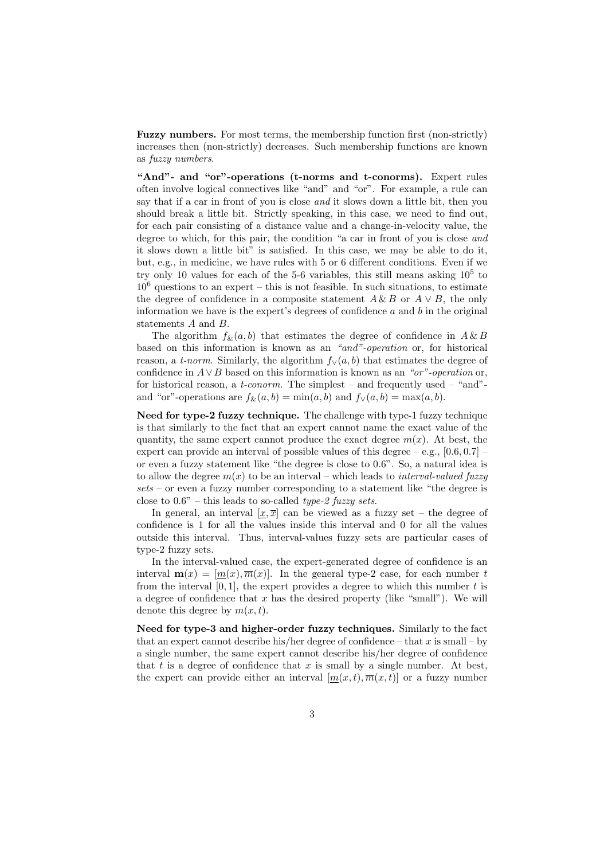Fuzzy numbers. For most terms, the membership function first (non-strictly) increases then (non-strictly) decreases. Such membership functions are known as fuzzy numbers.

"And"- and "or"-operations (t-norms and t-conorms). Expert rules often involve logical connectives like "and" and "or". For example, a rule can say that if a car in front of you is close and it slows down a little bit, then you should break a little bit. Strictly speaking, in this case, we need to find out, for each pair consisting of a distance value and a change-in-velocity value, the degree to which, for this pair, the condition "a car in front of you is close and it slows down a little bit" is satisfied. In this case, we may be able to do it, but, e.g., in medicine, we have rules with 5 or 6 different conditions. Even if we try only 10 values for each of the  $5-6$  variables, this still means asking  $10<sup>5</sup>$  to  $10<sup>6</sup>$  questions to an expert – this is not feasible. In such situations, to estimate the degree of confidence in a composite statement  $A \& B$  or  $A \vee B$ , the only information we have is the expert's degrees of confidence  $a$  and  $b$  in the original statements A and B.

The algorithm  $f_{\&}(a, b)$  that estimates the degree of confidence in  $A \& B$ based on this information is known as an "and"-operation or, for historical reason, a *t-norm*. Similarly, the algorithm  $f_{\vee}(a, b)$  that estimates the degree of confidence in  $A \vee B$  based on this information is known as an "or"-operation or, for historical reason, a *t-conorm*. The simplest – and frequently used – "and"and "or"-operations are  $f_{\&}(a, b) = \min(a, b)$  and  $f_{\vee}(a, b) = \max(a, b)$ .

Need for type-2 fuzzy technique. The challenge with type-1 fuzzy technique is that similarly to the fact that an expert cannot name the exact value of the quantity, the same expert cannot produce the exact degree  $m(x)$ . At best, the expert can provide an interval of possible values of this degree  $-$  e.g.,  $[0.6, 0.7]$  – or even a fuzzy statement like "the degree is close to 0.6". So, a natural idea is to allow the degree  $m(x)$  to be an interval – which leads to *interval-valued fuzzy*  $sets$  – or even a fuzzy number corresponding to a statement like "the degree is close to  $0.6"$  – this leads to so-called *type-2 fuzzy sets*.

In general, an interval  $[x,\overline{x}]$  can be viewed as a fuzzy set – the degree of confidence is 1 for all the values inside this interval and 0 for all the values outside this interval. Thus, interval-values fuzzy sets are particular cases of type-2 fuzzy sets.

In the interval-valued case, the expert-generated degree of confidence is an interval  $\mathbf{m}(x) = [m(x), \overline{m}(x)]$ . In the general type-2 case, for each number t from the interval  $[0, 1]$ , the expert provides a degree to which this number t is a degree of confidence that  $x$  has the desired property (like "small"). We will denote this degree by  $m(x, t)$ .

Need for type-3 and higher-order fuzzy techniques. Similarly to the fact that an expert cannot describe his/her degree of confidence – that  $x$  is small – by a single number, the same expert cannot describe his/her degree of confidence that t is a degree of confidence that  $x$  is small by a single number. At best, the expert can provide either an interval  $[m(x,t), \overline{m}(x,t)]$  or a fuzzy number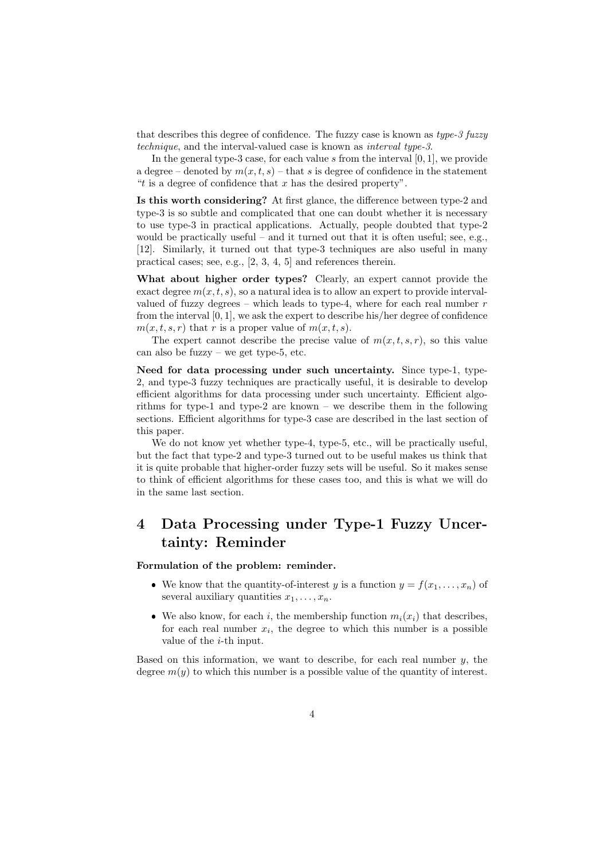that describes this degree of confidence. The fuzzy case is known as type-3 fuzzy technique, and the interval-valued case is known as interval type-3.

In the general type-3 case, for each value s from the interval  $[0, 1]$ , we provide a degree – denoted by  $m(x, t, s)$  – that s is degree of confidence in the statement "t is a degree of confidence that  $x$  has the desired property".

Is this worth considering? At first glance, the difference between type-2 and type-3 is so subtle and complicated that one can doubt whether it is necessary to use type-3 in practical applications. Actually, people doubted that type-2 would be practically useful – and it turned out that it is often useful; see, e.g., [12]. Similarly, it turned out that type-3 techniques are also useful in many practical cases; see, e.g., [2, 3, 4, 5] and references therein.

What about higher order types? Clearly, an expert cannot provide the exact degree  $m(x, t, s)$ , so a natural idea is to allow an expert to provide intervalvalued of fuzzy degrees – which leads to type-4, where for each real number  $r$ from the interval [0, 1], we ask the expert to describe his/her degree of confidence  $m(x, t, s, r)$  that r is a proper value of  $m(x, t, s)$ .

The expert cannot describe the precise value of  $m(x, t, s, r)$ , so this value can also be fuzzy – we get type-5, etc.

Need for data processing under such uncertainty. Since type-1, type-2, and type-3 fuzzy techniques are practically useful, it is desirable to develop efficient algorithms for data processing under such uncertainty. Efficient algorithms for type-1 and type-2 are known – we describe them in the following sections. Efficient algorithms for type-3 case are described in the last section of this paper.

We do not know yet whether type-4, type-5, etc., will be practically useful, but the fact that type-2 and type-3 turned out to be useful makes us think that it is quite probable that higher-order fuzzy sets will be useful. So it makes sense to think of efficient algorithms for these cases too, and this is what we will do in the same last section.

### 4 Data Processing under Type-1 Fuzzy Uncertainty: Reminder

Formulation of the problem: reminder.

- We know that the quantity-of-interest y is a function  $y = f(x_1, \ldots, x_n)$  of several auxiliary quantities  $x_1, \ldots, x_n$ .
- We also know, for each i, the membership function  $m_i(x_i)$  that describes, for each real number  $x_i$ , the degree to which this number is a possible value of the i-th input.

Based on this information, we want to describe, for each real number  $y$ , the degree  $m(y)$  to which this number is a possible value of the quantity of interest.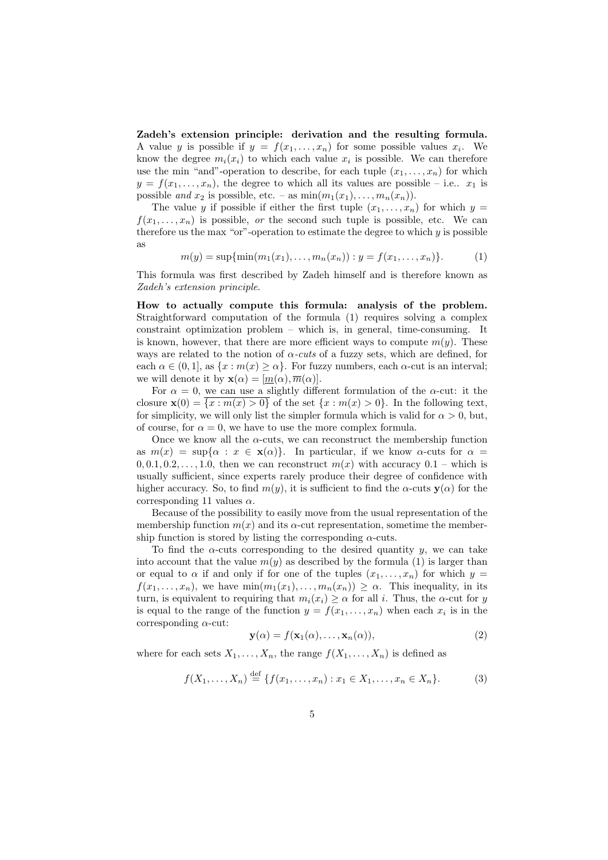Zadeh's extension principle: derivation and the resulting formula. A value y is possible if  $y = f(x_1, \ldots, x_n)$  for some possible values  $x_i$ . We know the degree  $m_i(x_i)$  to which each value  $x_i$  is possible. We can therefore use the min "and"-operation to describe, for each tuple  $(x_1, \ldots, x_n)$  for which  $y = f(x_1, \ldots, x_n)$ , the degree to which all its values are possible – i.e..  $x_1$  is possible and  $x_2$  is possible, etc. – as  $\min(m_1(x_1), \ldots, m_n(x_n)).$ 

The value y if possible if either the first tuple  $(x_1, \ldots, x_n)$  for which  $y =$  $f(x_1, \ldots, x_n)$  is possible, or the second such tuple is possible, etc. We can therefore us the max "or"-operation to estimate the degree to which  $y$  is possible as

$$
m(y) = \sup\{\min(m_1(x_1), \dots, m_n(x_n)) : y = f(x_1, \dots, x_n)\}.
$$
 (1)

This formula was first described by Zadeh himself and is therefore known as Zadeh's extension principle.

How to actually compute this formula: analysis of the problem. Straightforward computation of the formula (1) requires solving a complex constraint optimization problem – which is, in general, time-consuming. It is known, however, that there are more efficient ways to compute  $m(y)$ . These ways are related to the notion of  $\alpha$ -cuts of a fuzzy sets, which are defined, for each  $\alpha \in (0, 1]$ , as  $\{x : m(x) \geq \alpha\}$ . For fuzzy numbers, each  $\alpha$ -cut is an interval; we will denote it by  $\mathbf{x}(\alpha) = [m(\alpha), \overline{m}(\alpha)].$ 

For  $\alpha = 0$ , we can use a slightly different formulation of the  $\alpha$ -cut: it the closure  $\mathbf{x}(0) = \{x : m(x) > 0\}$  of the set  $\{x : m(x) > 0\}$ . In the following text, for simplicity, we will only list the simpler formula which is valid for  $\alpha > 0$ , but, of course, for  $\alpha = 0$ , we have to use the more complex formula.

Once we know all the  $\alpha$ -cuts, we can reconstruct the membership function as  $m(x) = \sup{\alpha : x \in \mathbf{x}(\alpha)}$ . In particular, if we know  $\alpha$ -cuts for  $\alpha =$  $0, 0.1, 0.2, \ldots, 1.0$ , then we can reconstruct  $m(x)$  with accuracy  $0.1$  – which is usually sufficient, since experts rarely produce their degree of confidence with higher accuracy. So, to find  $m(y)$ , it is sufficient to find the  $\alpha$ -cuts  $y(\alpha)$  for the corresponding 11 values  $\alpha$ .

Because of the possibility to easily move from the usual representation of the membership function  $m(x)$  and its  $\alpha$ -cut representation, sometime the membership function is stored by listing the corresponding  $\alpha$ -cuts.

To find the  $\alpha$ -cuts corresponding to the desired quantity y, we can take into account that the value  $m(y)$  as described by the formula (1) is larger than or equal to  $\alpha$  if and only if for one of the tuples  $(x_1, \ldots, x_n)$  for which  $y =$  $f(x_1, \ldots, x_n)$ , we have  $\min(m_1(x_1), \ldots, m_n(x_n)) \geq \alpha$ . This inequality, in its turn, is equivalent to requiring that  $m_i(x_i) \geq \alpha$  for all i. Thus, the  $\alpha$ -cut for y is equal to the range of the function  $y = f(x_1, \ldots, x_n)$  when each  $x_i$  is in the corresponding  $\alpha$ -cut:

$$
\mathbf{y}(\alpha) = f(\mathbf{x}_1(\alpha), \dots, \mathbf{x}_n(\alpha)), \tag{2}
$$

where for each sets  $X_1, \ldots, X_n$ , the range  $f(X_1, \ldots, X_n)$  is defined as

$$
f(X_1, ..., X_n) \stackrel{\text{def}}{=} \{ f(x_1, ..., x_n) : x_1 \in X_1, ..., x_n \in X_n \}.
$$
 (3)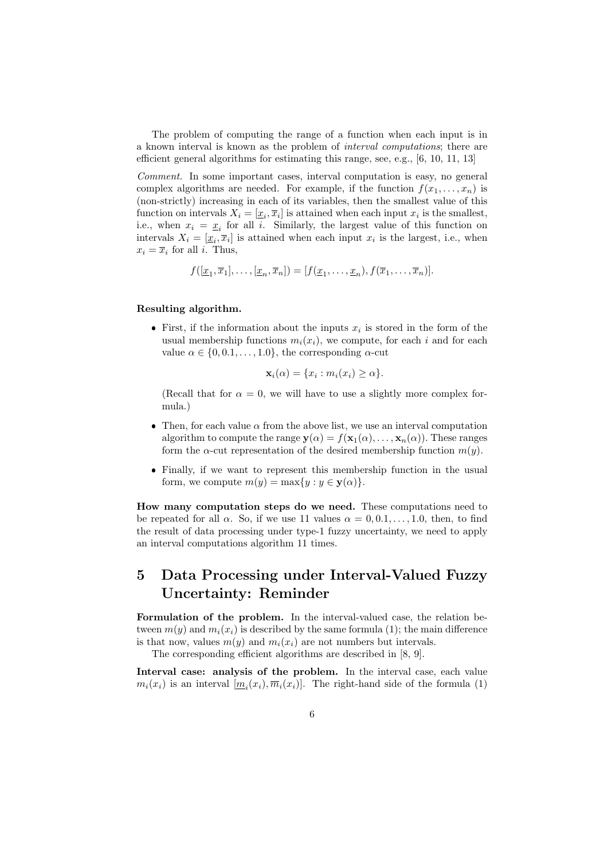The problem of computing the range of a function when each input is in a known interval is known as the problem of interval computations; there are efficient general algorithms for estimating this range, see, e.g., [6, 10, 11, 13]

Comment. In some important cases, interval computation is easy, no general complex algorithms are needed. For example, if the function  $f(x_1, \ldots, x_n)$  is (non-strictly) increasing in each of its variables, then the smallest value of this function on intervals  $X_i = [\underline{x}_i, \overline{x}_i]$  is attained when each input  $x_i$  is the smallest, i.e., when  $x_i = \underline{x}_i$  for all i. Similarly, the largest value of this function on intervals  $X_i = [\underline{x}_i, \overline{x}_i]$  is attained when each input  $x_i$  is the largest, i.e., when  $x_i = \overline{x}_i$  for all *i*. Thus,

$$
f([\underline{x}_1, \overline{x}_1], \dots, [\underline{x}_n, \overline{x}_n]) = [f(\underline{x}_1, \dots, \underline{x}_n), f(\overline{x}_1, \dots, \overline{x}_n)].
$$

#### Resulting algorithm.

• First, if the information about the inputs  $x_i$  is stored in the form of the usual membership functions  $m_i(x_i)$ , we compute, for each i and for each value  $\alpha \in \{0, 0.1, \ldots, 1.0\}$ , the corresponding  $\alpha$ -cut

$$
\mathbf{x}_i(\alpha) = \{x_i : m_i(x_i) \ge \alpha\}.
$$

(Recall that for  $\alpha = 0$ , we will have to use a slightly more complex formula.)

- Then, for each value  $\alpha$  from the above list, we use an interval computation algorithm to compute the range  $y(\alpha) = f(x_1(\alpha), \ldots, x_n(\alpha))$ . These ranges form the  $\alpha$ -cut representation of the desired membership function  $m(y)$ .
- Finally, if we want to represent this membership function in the usual form, we compute  $m(y) = \max\{y : y \in \mathbf{y}(\alpha)\}.$

How many computation steps do we need. These computations need to be repeated for all  $\alpha$ . So, if we use 11 values  $\alpha = 0, 0.1, \ldots, 1.0$ , then, to find the result of data processing under type-1 fuzzy uncertainty, we need to apply an interval computations algorithm 11 times.

### 5 Data Processing under Interval-Valued Fuzzy Uncertainty: Reminder

Formulation of the problem. In the interval-valued case, the relation between  $m(y)$  and  $m_i(x_i)$  is described by the same formula (1); the main difference is that now, values  $m(y)$  and  $m_i(x_i)$  are not numbers but intervals.

The corresponding efficient algorithms are described in [8, 9].

Interval case: analysis of the problem. In the interval case, each value  $m_i(x_i)$  is an interval  $[\underline{m}_i(x_i), \overline{m}_i(x_i)]$ . The right-hand side of the formula (1)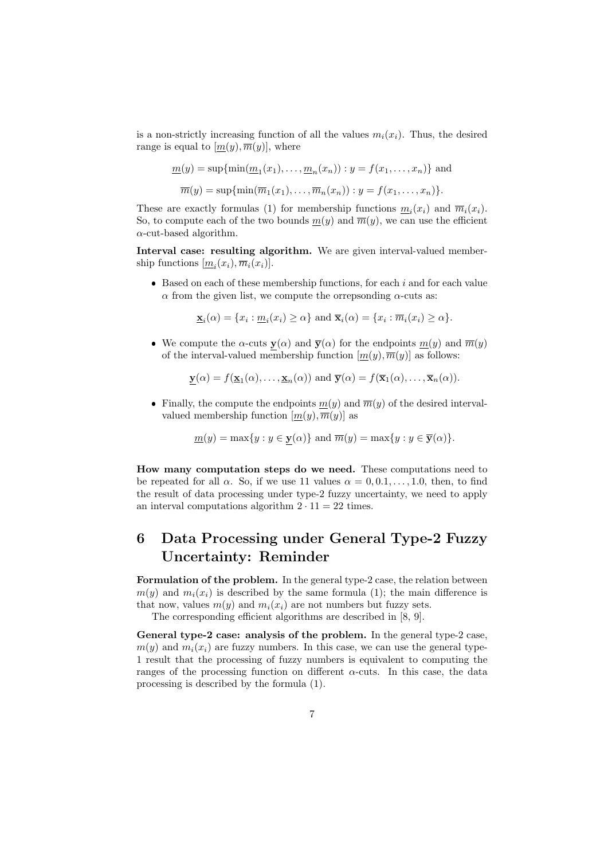is a non-strictly increasing function of all the values  $m_i(x_i)$ . Thus, the desired range is equal to  $[m(y), \overline{m}(y)]$ , where

$$
\underline{m}(y) = \sup\{\min(\underline{m}_1(x_1), \dots, \underline{m}_n(x_n)) : y = f(x_1, \dots, x_n)\}\
$$
and  

$$
\overline{m}(y) = \sup\{\min(\overline{m}_1(x_1), \dots, \overline{m}_n(x_n)) : y = f(x_1, \dots, x_n)\}.
$$

These are exactly formulas (1) for membership functions  $\underline{m}_i(x_i)$  and  $\overline{m}_i(x_i)$ . So, to compute each of the two bounds  $m(y)$  and  $\overline{m}(y)$ , we can use the efficient  $\alpha$ -cut-based algorithm.

Interval case: resulting algorithm. We are given interval-valued membership functions  $[\underline{m}_i(x_i), \overline{m}_i(x_i)].$ 

 $\bullet$  Based on each of these membership functions, for each i and for each value  $\alpha$  from the given list, we compute the orrepsonding  $\alpha$ -cuts as:

 $\underline{\mathbf{x}}_i(\alpha) = \{x_i : \underline{m}_i(x_i) \geq \alpha\}$  and  $\overline{\mathbf{x}}_i(\alpha) = \{x_i : \overline{m}_i(x_i) \geq \alpha\}.$ 

• We compute the  $\alpha$ -cuts  $y(\alpha)$  and  $\overline{y}(\alpha)$  for the endpoints  $m(y)$  and  $\overline{m}(y)$ of the interval-valued membership function  $[m(y), \overline{m}(y)]$  as follows:

$$
\underline{\mathbf{y}}(\alpha) = f(\underline{\mathbf{x}}_1(\alpha), \dots, \underline{\mathbf{x}}_n(\alpha))
$$
 and  $\overline{\mathbf{y}}(\alpha) = f(\overline{\mathbf{x}}_1(\alpha), \dots, \overline{\mathbf{x}}_n(\alpha)).$ 

Finally, the compute the endpoints  $m(y)$  and  $\overline{m}(y)$  of the desired intervalvalued membership function  $[m(y), \overline{m}(y)]$  as

$$
\underline{m}(y) = \max\{y : y \in \mathbf{y}(\alpha)\} \text{ and } \overline{m}(y) = \max\{y : y \in \overline{\mathbf{y}}(\alpha)\}.
$$

How many computation steps do we need. These computations need to be repeated for all  $\alpha$ . So, if we use 11 values  $\alpha = 0, 0, 1, \ldots, 1, 0$ , then, to find the result of data processing under type-2 fuzzy uncertainty, we need to apply an interval computations algorithm  $2 \cdot 11 = 22$  times.

### 6 Data Processing under General Type-2 Fuzzy Uncertainty: Reminder

Formulation of the problem. In the general type-2 case, the relation between  $m(y)$  and  $m_i(x_i)$  is described by the same formula (1); the main difference is that now, values  $m(y)$  and  $m_i(x_i)$  are not numbers but fuzzy sets.

The corresponding efficient algorithms are described in [8, 9].

General type-2 case: analysis of the problem. In the general type-2 case,  $m(y)$  and  $m_i(x_i)$  are fuzzy numbers. In this case, we can use the general type-1 result that the processing of fuzzy numbers is equivalent to computing the ranges of the processing function on different  $\alpha$ -cuts. In this case, the data processing is described by the formula (1).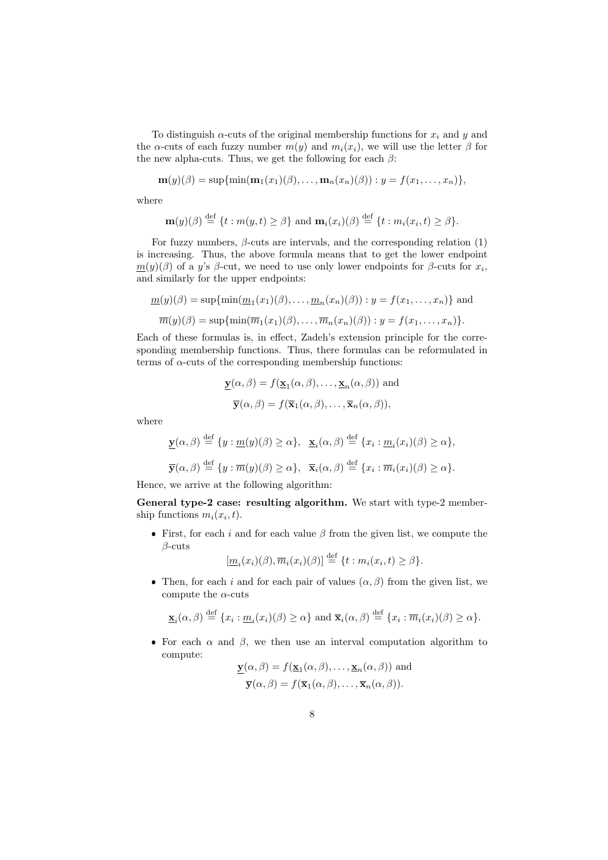To distinguish  $\alpha$ -cuts of the original membership functions for  $x_i$  and y and the  $\alpha$ -cuts of each fuzzy number  $m(y)$  and  $m_i(x_i)$ , we will use the letter  $\beta$  for the new alpha-cuts. Thus, we get the following for each  $\beta$ :

$$
\mathbf{m}(y)(\beta) = \sup\{\min(\mathbf{m}_1(x_1)(\beta),\ldots,\mathbf{m}_n(x_n)(\beta)): y = f(x_1,\ldots,x_n)\},\
$$

where

$$
\mathbf{m}(y)(\beta) \stackrel{\text{def}}{=} \{t : m(y, t) \ge \beta\} \text{ and } \mathbf{m}_i(x_i)(\beta) \stackrel{\text{def}}{=} \{t : m_i(x_i, t) \ge \beta\}.
$$

For fuzzy numbers,  $\beta$ -cuts are intervals, and the corresponding relation (1) is increasing. Thus, the above formula means that to get the lower endpoint  $\underline{m}(y)(\beta)$  of a y's  $\beta$ -cut, we need to use only lower endpoints for  $\beta$ -cuts for  $x_i$ , and similarly for the upper endpoints:

$$
\underline{m}(y)(\beta) = \sup\{\min(\underline{m}_1(x_1)(\beta), \dots, \underline{m}_n(x_n)(\beta)) : y = f(x_1, \dots, x_n)\}\
$$
and  

$$
\overline{m}(y)(\beta) = \sup\{\min(\overline{m}_1(x_1)(\beta), \dots, \overline{m}_n(x_n)(\beta)) : y = f(x_1, \dots, x_n)\}.
$$

Each of these formulas is, in effect, Zadeh's extension principle for the corresponding membership functions. Thus, there formulas can be reformulated in terms of  $\alpha$ -cuts of the corresponding membership functions:

$$
\underline{\mathbf{y}}(\alpha, \beta) = f(\underline{\mathbf{x}}_1(\alpha, \beta), \dots, \underline{\mathbf{x}}_n(\alpha, \beta)) \text{ and}
$$

$$
\overline{\mathbf{y}}(\alpha, \beta) = f(\overline{\mathbf{x}}_1(\alpha, \beta), \dots, \overline{\mathbf{x}}_n(\alpha, \beta)),
$$

where

$$
\underline{\mathbf{y}}(\alpha,\beta) \stackrel{\text{def}}{=} \{ y : \underline{m}(y)(\beta) \ge \alpha \}, \quad \underline{\mathbf{x}}_i(\alpha,\beta) \stackrel{\text{def}}{=} \{ x_i : \underline{m}_i(x_i)(\beta) \ge \alpha \},
$$
  

$$
\overline{\mathbf{y}}(\alpha,\beta) \stackrel{\text{def}}{=} \{ y : \overline{m}(y)(\beta) \ge \alpha \}, \quad \overline{\mathbf{x}}_i(\alpha,\beta) \stackrel{\text{def}}{=} \{ x_i : \overline{m}_i(x_i)(\beta) \ge \alpha \}.
$$

Hence, we arrive at the following algorithm:

General type-2 case: resulting algorithm. We start with type-2 membership functions  $m_i(x_i, t)$ .

First, for each i and for each value  $\beta$  from the given list, we compute the β-cuts

 $[\underline{m}_i(x_i)(\beta), \overline{m}_i(x_i)(\beta)] \stackrel{\text{def}}{=} \{t : m_i(x_i, t) \ge \beta\}.$ 

• Then, for each i and for each pair of values  $(\alpha, \beta)$  from the given list, we compute the  $\alpha$ -cuts

$$
\underline{\mathbf{x}}_i(\alpha,\beta) \stackrel{\text{def}}{=} \{x_i : \underline{m}_i(x_i)(\beta) \ge \alpha\} \text{ and } \overline{\mathbf{x}}_i(\alpha,\beta) \stackrel{\text{def}}{=} \{x_i : \overline{m}_i(x_i)(\beta) \ge \alpha\}.
$$

• For each  $\alpha$  and  $\beta$ , we then use an interval computation algorithm to compute:

$$
\underline{\mathbf{y}}(\alpha, \beta) = f(\underline{\mathbf{x}}_1(\alpha, \beta), \dots, \underline{\mathbf{x}}_n(\alpha, \beta))
$$
 and  

$$
\overline{\mathbf{y}}(\alpha, \beta) = f(\overline{\mathbf{x}}_1(\alpha, \beta), \dots, \overline{\mathbf{x}}_n(\alpha, \beta)).
$$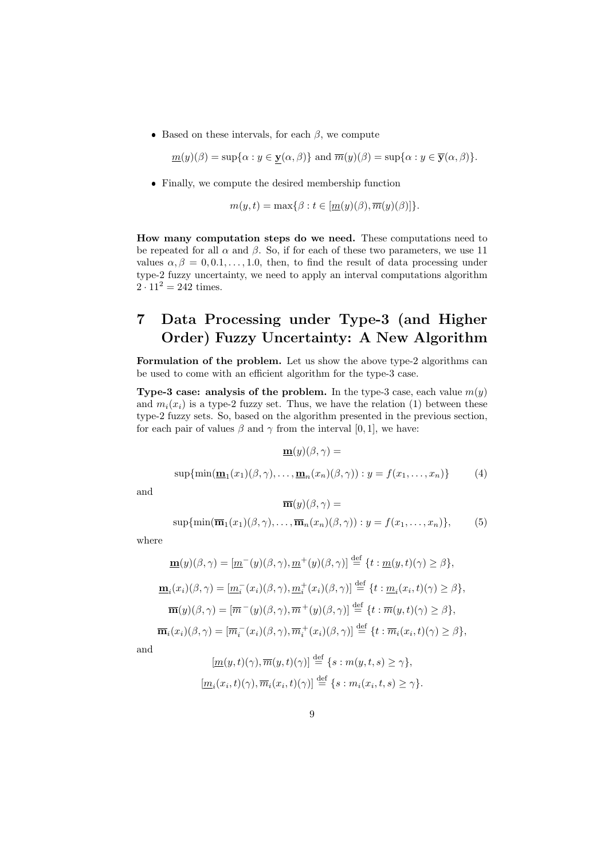Based on these intervals, for each  $\beta$ , we compute

$$
\underline{m}(y)(\beta) = \sup \{ \alpha : y \in \mathbf{y}(\alpha, \beta) \} \text{ and } \overline{m}(y)(\beta) = \sup \{ \alpha : y \in \overline{\mathbf{y}}(\alpha, \beta) \}.
$$

Finally, we compute the desired membership function

$$
m(y, t) = \max\{\beta : t \in [m(y)(\beta), \overline{m}(y)(\beta)]\}.
$$

How many computation steps do we need. These computations need to be repeated for all  $\alpha$  and  $\beta$ . So, if for each of these two parameters, we use 11 values  $\alpha, \beta = 0, 0.1, \ldots, 1.0$ , then, to find the result of data processing under type-2 fuzzy uncertainty, we need to apply an interval computations algorithm  $2 \cdot 11^2 = 242$  times.

### 7 Data Processing under Type-3 (and Higher Order) Fuzzy Uncertainty: A New Algorithm

Formulation of the problem. Let us show the above type-2 algorithms can be used to come with an efficient algorithm for the type-3 case.

**Type-3 case: analysis of the problem.** In the type-3 case, each value  $m(y)$ and  $m_i(x_i)$  is a type-2 fuzzy set. Thus, we have the relation (1) between these type-2 fuzzy sets. So, based on the algorithm presented in the previous section, for each pair of values  $\beta$  and  $\gamma$  from the interval [0, 1], we have:

$$
\underline{\mathbf{m}}(y)(\beta,\gamma) =
$$

$$
\sup\{\min(\underline{\mathbf{m}}_1(x_1)(\beta,\gamma),\ldots,\underline{\mathbf{m}}_n(x_n)(\beta,\gamma)) : y = f(x_1,\ldots,x_n)\}\tag{4}
$$

and

$$
\overline{\mathbf{m}}(y)(\beta, \gamma) =
$$
  
sup{min( $\overline{\mathbf{m}}_1(x_1)(\beta, \gamma), \dots, \overline{\mathbf{m}}_n(x_n)(\beta, \gamma)) : y = f(x_1, \dots, x_n)},$  (5)

where

$$
\mathbf{m}(y)(\beta,\gamma) = [\underline{m}^-(y)(\beta,\gamma), \underline{m}^+(y)(\beta,\gamma)] \stackrel{\text{def}}{=} \{t : \underline{m}(y,t)(\gamma) \ge \beta\},
$$
  

$$
\mathbf{m}_i(x_i)(\beta,\gamma) = [\underline{m}_i^-(x_i)(\beta,\gamma), \underline{m}_i^+(x_i)(\beta,\gamma)] \stackrel{\text{def}}{=} \{t : \underline{m}_i(x_i,t)(\gamma) \ge \beta\},
$$
  

$$
\overline{\mathbf{m}}(y)(\beta,\gamma) = [\overline{m}^-(y)(\beta,\gamma), \overline{m}^+(y)(\beta,\gamma)] \stackrel{\text{def}}{=} \{t : \overline{m}(y,t)(\gamma) \ge \beta\},
$$
  

$$
\overline{\mathbf{m}}_i(x_i)(\beta,\gamma) = [\overline{m}_i^-(x_i)(\beta,\gamma), \overline{m}_i^+(x_i)(\beta,\gamma)] \stackrel{\text{def}}{=} \{t : \overline{m}_i(x_i,t)(\gamma) \ge \beta\},
$$

and

$$
[\underline{m}(y,t)(\gamma), \overline{m}(y,t)(\gamma)] \stackrel{\text{def}}{=} \{s : m(y,t,s) \ge \gamma\},
$$
  

$$
[\underline{m}_i(x_i,t)(\gamma), \overline{m}_i(x_i,t)(\gamma)] \stackrel{\text{def}}{=} \{s : m_i(x_i,t,s) \ge \gamma\}.
$$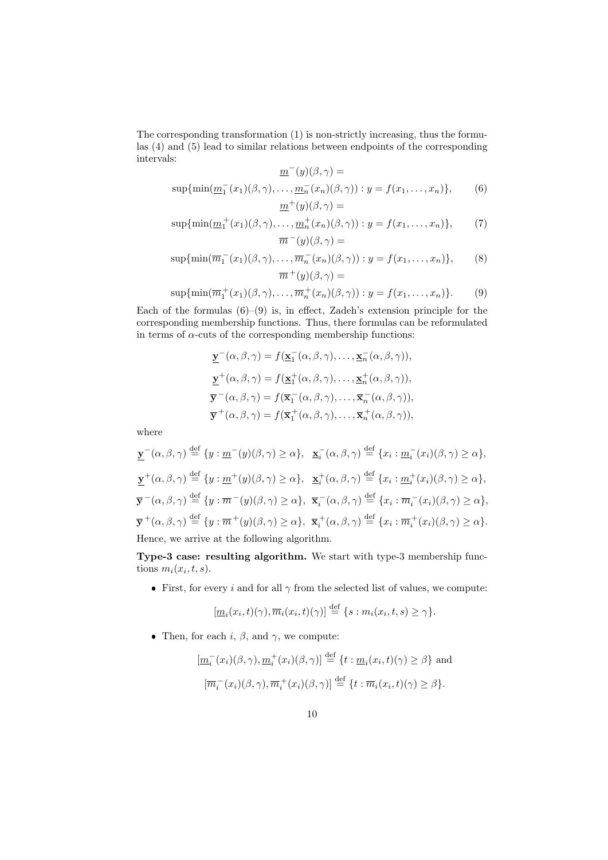The corresponding transformation (1) is non-strictly increasing, thus the formulas (4) and (5) lead to similar relations between endpoints of the corresponding intervals:

 $\underline{m}^-(y)(\beta, \gamma) =$ 

$$
\sup\{\min(\underline{m}_1^-(x_1)(\beta,\gamma),\ldots,\underline{m}_n^-(x_n)(\beta,\gamma)) : y = f(x_1,\ldots,x_n)\},\qquad(6)
$$

$$
\underline{m}^+(y)(\beta,\gamma) =
$$

$$
\sup \{ \min(\underline{m}_1^+(x_1)(\beta, \gamma), \dots, \underline{m}_n^+(x_n)(\beta, \gamma)) : y = f(x_1, \dots, x_n) \},\tag{7}
$$

$$
\overline{m}^-(y)(\beta, \gamma) =
$$

$$
\sup\{\min(\overline{m}_1^-(x_1)(\beta,\gamma),\ldots,\overline{m}_n^-(x_n)(\beta,\gamma)) : y = f(x_1,\ldots,x_n)\},\qquad(8)
$$

$$
\overline{m}^+(y)(\beta,\gamma) =
$$

$$
\sup\{\min(\overline{m}_1^+(x_1)(\beta,\gamma),\ldots,\overline{m}_n^+(x_n)(\beta,\gamma)) : y = f(x_1,\ldots,x_n)\}.
$$
 (9)

Each of the formulas  $(6)$ – $(9)$  is, in effect, Zadeh's extension principle for the corresponding membership functions. Thus, there formulas can be reformulated in terms of  $\alpha$ -cuts of the corresponding membership functions:

$$
\underline{\mathbf{y}}^-(\alpha,\beta,\gamma) = f(\underline{\mathbf{x}}_1^-(\alpha,\beta,\gamma),\ldots,\underline{\mathbf{x}}_n^-(\alpha,\beta,\gamma)),
$$
  

$$
\underline{\mathbf{y}}^+(\alpha,\beta,\gamma) = f(\underline{\mathbf{x}}_1^+(\alpha,\beta,\gamma),\ldots,\underline{\mathbf{x}}_n^+(\alpha,\beta,\gamma)),
$$
  

$$
\overline{\mathbf{y}}^-(\alpha,\beta,\gamma) = f(\overline{\mathbf{x}}_1^-(\alpha,\beta,\gamma),\ldots,\overline{\mathbf{x}}_n^-(\alpha,\beta,\gamma)),
$$
  

$$
\overline{\mathbf{y}}^+(\alpha,\beta,\gamma) = f(\overline{\mathbf{x}}_1^+(\alpha,\beta,\gamma),\ldots,\overline{\mathbf{x}}_n^+(\alpha,\beta,\gamma)),
$$

where

$$
\underline{\mathbf{y}}^-(\alpha,\beta,\gamma) \stackrel{\text{def}}{=} \{ y : \underline{m}^-(y)(\beta,\gamma) \ge \alpha \}, \quad \underline{\mathbf{x}}_i^-(\alpha,\beta,\gamma) \stackrel{\text{def}}{=} \{ x_i : \underline{m}_i^-(x_i)(\beta,\gamma) \ge \alpha \},
$$
\n
$$
\underline{\mathbf{y}}^+(\alpha,\beta,\gamma) \stackrel{\text{def}}{=} \{ y : \underline{m}^+(y)(\beta,\gamma) \ge \alpha \}, \quad \underline{\mathbf{x}}_i^+(\alpha,\beta,\gamma) \stackrel{\text{def}}{=} \{ x_i : \underline{m}_i^+(x_i)(\beta,\gamma) \ge \alpha \},
$$
\n
$$
\overline{\mathbf{y}}^-(\alpha,\beta,\gamma) \stackrel{\text{def}}{=} \{ y : \overline{m}^-(y)(\beta,\gamma) \ge \alpha \}, \quad \overline{\mathbf{x}}_i^-(\alpha,\beta,\gamma) \stackrel{\text{def}}{=} \{ x_i : \overline{m}_i^-(x_i)(\beta,\gamma) \ge \alpha \},
$$
\n
$$
\overline{\mathbf{y}}^+(\alpha,\beta,\gamma) \stackrel{\text{def}}{=} \{ y : \overline{m}^+(y)(\beta,\gamma) \ge \alpha \}, \quad \overline{\mathbf{x}}_i^+(\alpha,\beta,\gamma) \stackrel{\text{def}}{=} \{ x_i : \overline{m}_i^+(x_i)(\beta,\gamma) \ge \alpha \}.
$$
\nHence, we arrive at the following algorithm.

Type-3 case: resulting algorithm. We start with type-3 membership functions  $m_i(x_i, t, s)$ .

First, for every i and for all  $\gamma$  from the selected list of values, we compute:

$$
[\underline{m}_i(x_i,t)(\gamma), \overline{m}_i(x_i,t)(\gamma)] \stackrel{\text{def}}{=} \{s : m_i(x_i,t,s) \geq \gamma\}.
$$

• Then, for each i,  $\beta$ , and  $\gamma$ , we compute:

$$
[\underline{m}_i^-(x_i)(\beta,\gamma), \underline{m}_i^+(x_i)(\beta,\gamma)] \stackrel{\text{def}}{=} \{t : \underline{m}_i(x_i,t)(\gamma) \ge \beta\} \text{ and}
$$

$$
[\overline{m}_i^-(x_i)(\beta,\gamma), \overline{m}_i^+(x_i)(\beta,\gamma)] \stackrel{\text{def}}{=} \{t : \overline{m}_i(x_i,t)(\gamma) \ge \beta\}.
$$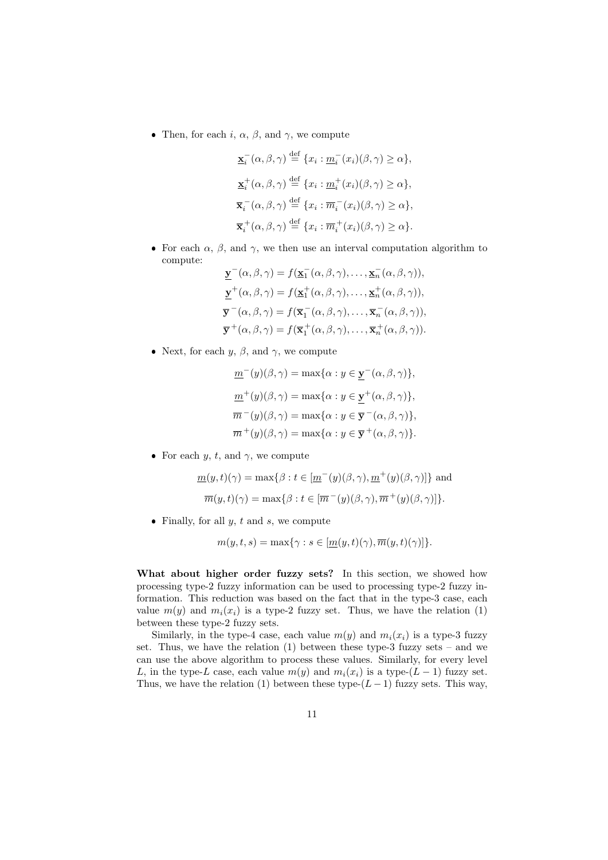• Then, for each i,  $\alpha$ ,  $\beta$ , and  $\gamma$ , we compute

$$
\mathbf{\underline{x}}_i^-(\alpha,\beta,\gamma) \stackrel{\text{def}}{=} \{x_i : \underline{m}_i^-(x_i)(\beta,\gamma) \ge \alpha\},
$$
  

$$
\mathbf{\underline{x}}_i^+(\alpha,\beta,\gamma) \stackrel{\text{def}}{=} \{x_i : \underline{m}_i^+(x_i)(\beta,\gamma) \ge \alpha\},
$$
  

$$
\overline{\mathbf{x}}_i^-(\alpha,\beta,\gamma) \stackrel{\text{def}}{=} \{x_i : \overline{m}_i^-(x_i)(\beta,\gamma) \ge \alpha\},
$$
  

$$
\overline{\mathbf{x}}_i^+(\alpha,\beta,\gamma) \stackrel{\text{def}}{=} \{x_i : \overline{m}_i^+(x_i)(\beta,\gamma) \ge \alpha\}.
$$

• For each  $\alpha$ ,  $\beta$ , and  $\gamma$ , we then use an interval computation algorithm to compute:

$$
\underline{\mathbf{y}}^-(\alpha,\beta,\gamma) = f(\underline{\mathbf{x}}_1^-(\alpha,\beta,\gamma),\ldots,\underline{\mathbf{x}}_n^-(\alpha,\beta,\gamma)),
$$
  

$$
\underline{\mathbf{y}}^+(\alpha,\beta,\gamma) = f(\underline{\mathbf{x}}_1^+(\alpha,\beta,\gamma),\ldots,\underline{\mathbf{x}}_n^+(\alpha,\beta,\gamma)),
$$
  

$$
\overline{\mathbf{y}}^-(\alpha,\beta,\gamma) = f(\overline{\mathbf{x}}_1^-(\alpha,\beta,\gamma),\ldots,\overline{\mathbf{x}}_n^-(\alpha,\beta,\gamma)),
$$
  

$$
\overline{\mathbf{y}}^+(\alpha,\beta,\gamma) = f(\overline{\mathbf{x}}_1^+(\alpha,\beta,\gamma),\ldots,\overline{\mathbf{x}}_n^+(\alpha,\beta,\gamma)).
$$

• Next, for each  $y, \beta$ , and  $\gamma$ , we compute

$$
\underline{m}^-(y)(\beta, \gamma) = \max\{\alpha : y \in \underline{\mathbf{y}}^-(\alpha, \beta, \gamma)\},
$$

$$
\underline{m}^+(y)(\beta, \gamma) = \max\{\alpha : y \in \underline{\mathbf{y}}^+(\alpha, \beta, \gamma)\},
$$

$$
\overline{m}^-(y)(\beta, \gamma) = \max\{\alpha : y \in \overline{\mathbf{y}}^-(\alpha, \beta, \gamma)\},
$$

$$
\overline{m}^+(y)(\beta, \gamma) = \max\{\alpha : y \in \overline{\mathbf{y}}^+(\alpha, \beta, \gamma)\}.
$$

• For each y, t, and  $\gamma$ , we compute

$$
\underline{m}(y,t)(\gamma) = \max\{\beta : t \in [\underline{m}^-(y)(\beta,\gamma), \underline{m}^+(y)(\beta,\gamma)]\}
$$
 and

$$
\overline{m}(y,t)(\gamma) = \max\{\beta : t \in [\overline{m}^-(y)(\beta,\gamma), \overline{m}^+(y)(\beta,\gamma)]\}.
$$

• Finally, for all  $y, t$  and  $s$ , we compute

$$
m(y, t, s) = \max\{\gamma : s \in [\underline{m}(y, t)(\gamma), \overline{m}(y, t)(\gamma)]\}.
$$

What about higher order fuzzy sets? In this section, we showed how processing type-2 fuzzy information can be used to processing type-2 fuzzy information. This reduction was based on the fact that in the type-3 case, each value  $m(y)$  and  $m_i(x_i)$  is a type-2 fuzzy set. Thus, we have the relation (1) between these type-2 fuzzy sets.

Similarly, in the type-4 case, each value  $m(y)$  and  $m_i(x_i)$  is a type-3 fuzzy set. Thus, we have the relation  $(1)$  between these type-3 fuzzy sets – and we can use the above algorithm to process these values. Similarly, for every level L, in the type-L case, each value  $m(y)$  and  $m_i(x_i)$  is a type- $(L-1)$  fuzzy set. Thus, we have the relation (1) between these type- $(L-1)$  fuzzy sets. This way,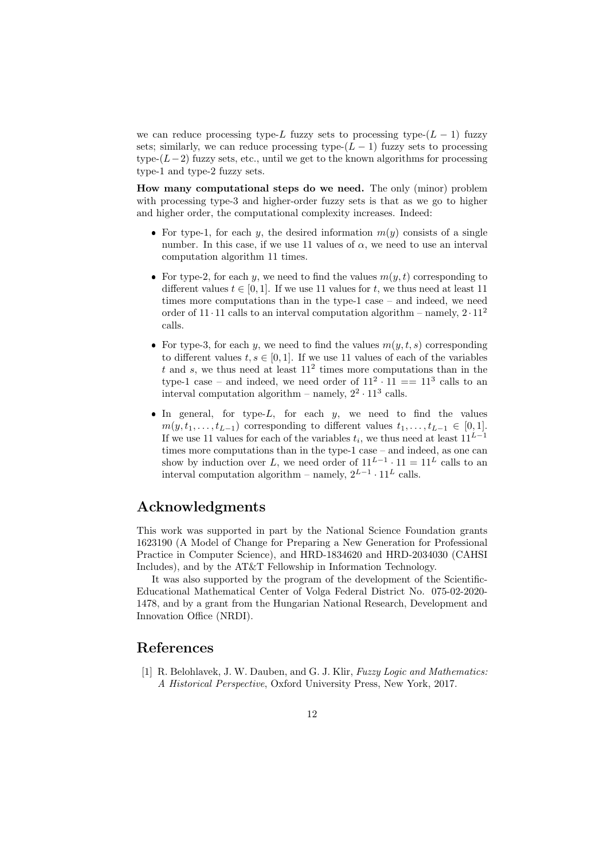we can reduce processing type-L fuzzy sets to processing type- $(L - 1)$  fuzzy sets; similarly, we can reduce processing type- $(L-1)$  fuzzy sets to processing type- $(L-2)$  fuzzy sets, etc., until we get to the known algorithms for processing type-1 and type-2 fuzzy sets.

How many computational steps do we need. The only (minor) problem with processing type-3 and higher-order fuzzy sets is that as we go to higher and higher order, the computational complexity increases. Indeed:

- For type-1, for each y, the desired information  $m(y)$  consists of a single number. In this case, if we use 11 values of  $\alpha$ , we need to use an interval computation algorithm 11 times.
- For type-2, for each y, we need to find the values  $m(y, t)$  corresponding to different values  $t \in [0, 1]$ . If we use 11 values for t, we thus need at least 11 times more computations than in the type-1 case – and indeed, we need order of  $11 \cdot 11$  calls to an interval computation algorithm – namely,  $2 \cdot 11^2$ calls.
- For type-3, for each y, we need to find the values  $m(y, t, s)$  corresponding to different values  $t, s \in [0, 1]$ . If we use 11 values of each of the variables t and s, we thus need at least  $11^2$  times more computations than in the type-1 case – and indeed, we need order of  $11^2 \cdot 11 == 11^3$  calls to an interval computation algorithm – namely,  $2^2 \cdot 11^3$  calls.
- $\bullet$  In general, for type-L, for each y, we need to find the values  $m(y, t_1, \ldots, t_{L-1})$  corresponding to different values  $t_1, \ldots, t_{L-1} \in [0,1].$ If we use 11 values for each of the variables  $t_i$ , we thus need at least  $11^{L-1}$ times more computations than in the type-1 case – and indeed, as one can show by induction over L, we need order of  $11^{L-1} \cdot 11 = 11^L$  calls to an interval computation algorithm – namely,  $2^{L-1} \cdot 11^L$  calls.

#### Acknowledgments

This work was supported in part by the National Science Foundation grants 1623190 (A Model of Change for Preparing a New Generation for Professional Practice in Computer Science), and HRD-1834620 and HRD-2034030 (CAHSI Includes), and by the AT&T Fellowship in Information Technology.

It was also supported by the program of the development of the Scientific-Educational Mathematical Center of Volga Federal District No. 075-02-2020- 1478, and by a grant from the Hungarian National Research, Development and Innovation Office (NRDI).

#### References

[1] R. Belohlavek, J. W. Dauben, and G. J. Klir, Fuzzy Logic and Mathematics: A Historical Perspective, Oxford University Press, New York, 2017.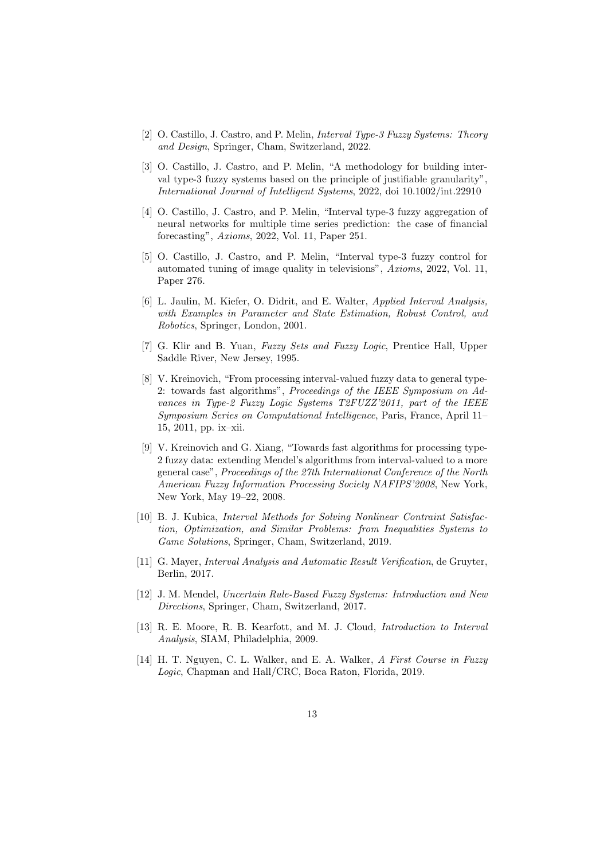- [2] O. Castillo, J. Castro, and P. Melin, Interval Type-3 Fuzzy Systems: Theory and Design, Springer, Cham, Switzerland, 2022.
- [3] O. Castillo, J. Castro, and P. Melin, "A methodology for building interval type-3 fuzzy systems based on the principle of justifiable granularity", International Journal of Intelligent Systems, 2022, doi 10.1002/int.22910
- [4] O. Castillo, J. Castro, and P. Melin, "Interval type-3 fuzzy aggregation of neural networks for multiple time series prediction: the case of financial forecasting", Axioms, 2022, Vol. 11, Paper 251.
- [5] O. Castillo, J. Castro, and P. Melin, "Interval type-3 fuzzy control for automated tuning of image quality in televisions", Axioms, 2022, Vol. 11, Paper 276.
- [6] L. Jaulin, M. Kiefer, O. Didrit, and E. Walter, Applied Interval Analysis, with Examples in Parameter and State Estimation, Robust Control, and Robotics, Springer, London, 2001.
- [7] G. Klir and B. Yuan, Fuzzy Sets and Fuzzy Logic, Prentice Hall, Upper Saddle River, New Jersey, 1995.
- [8] V. Kreinovich, "From processing interval-valued fuzzy data to general type-2: towards fast algorithms", Proceedings of the IEEE Symposium on Advances in Type-2 Fuzzy Logic Systems T2FUZZ'2011, part of the IEEE Symposium Series on Computational Intelligence, Paris, France, April 11– 15, 2011, pp. ix–xii.
- [9] V. Kreinovich and G. Xiang, "Towards fast algorithms for processing type-2 fuzzy data: extending Mendel's algorithms from interval-valued to a more general case", Proceedings of the 27th International Conference of the North American Fuzzy Information Processing Society NAFIPS'2008, New York, New York, May 19–22, 2008.
- [10] B. J. Kubica, Interval Methods for Solving Nonlinear Contraint Satisfaction, Optimization, and Similar Problems: from Inequalities Systems to Game Solutions, Springer, Cham, Switzerland, 2019.
- [11] G. Mayer, Interval Analysis and Automatic Result Verification, de Gruyter, Berlin, 2017.
- [12] J. M. Mendel, Uncertain Rule-Based Fuzzy Systems: Introduction and New Directions, Springer, Cham, Switzerland, 2017.
- [13] R. E. Moore, R. B. Kearfott, and M. J. Cloud, Introduction to Interval Analysis, SIAM, Philadelphia, 2009.
- [14] H. T. Nguyen, C. L. Walker, and E. A. Walker, A First Course in Fuzzy Logic, Chapman and Hall/CRC, Boca Raton, Florida, 2019.